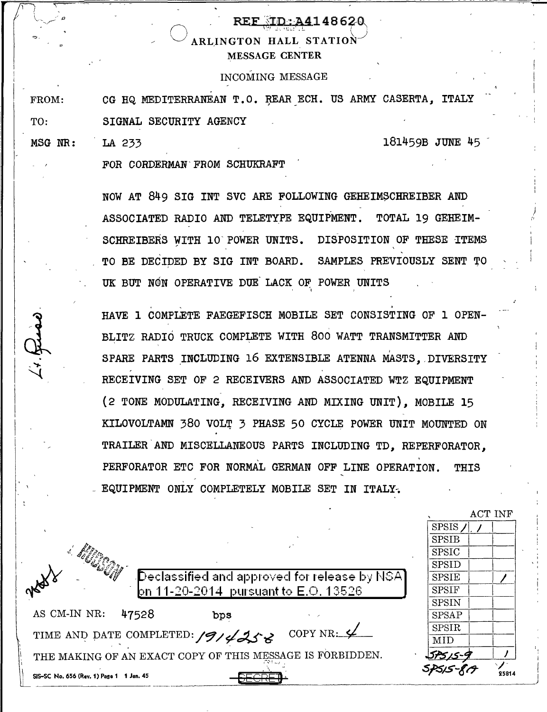## REF : 1D: A4148620 ARLINGTON HALL STATION MESSAGE CENTER

## INCOMING MESSAGE

FROM: TO: CG HQ MEDITERRANEAN T.O. REAR ECH. US ARMY CASERTA, ITALY SIGNAL SECURITY AGENCY

MSG NR:

LA 233 181459B JUNE 45

FOR CORDERMAN' FROM SCHUKRAFT

NOW AT 849 SIG INT SVC ARE FOLLOWING GEHEIMSCHREIBER AND ASSOCIATED RADIO AND TELETYPE EQUIPMENT. TOTAL 19 GEHEIM-SCHREIBERS WITH 10 POWER UNITS. DISPOSITION OF THESE ITEMS TO BE DECIDED BY SIG INT BOARD. SAMPLES PREVIOUSLY SENT TO UK BUT NON OPERATIVE DUE LACK OF POWER UNITS

HAVE 1 COMPLETE FAEGEFISCH MOBILE SET CONSISTING OF 1 OPEN-BLITZ RADIO TRUCK COMPLETE WITH 800 WATT TRANSMITTER AND SPARE PARTS INCLUDING 16 EXTENSIBLE ATENNA MASTS. DIVERSITY RECEIVING SET OF 2 RECEIVERS AND ASSOCIATED WTZ EQUIPMENT (2 TONE MODULATING, RECEIVING AND MIXING UNIT), MOBILE 15 KILOVOLTAMN 380 VOLT 3 PHASE 50 CYCLE POWER UNIT MOUNTED ON TRAILER AND MISCELLANEOUS PARTS INCLUDING TD, REPERFORATOR, PERFORATOR ETC FOR NORMAL GERMAN OFF LINE OPERATION. THIS - EQUIPMENT ONLY COMPLETELY MOBILE SET IN ITALY.

|                                                                                     |              | ACT INF |
|-------------------------------------------------------------------------------------|--------------|---------|
|                                                                                     | <b>SPSIS</b> |         |
|                                                                                     | <b>SPSIB</b> |         |
|                                                                                     | <b>SPSIC</b> |         |
|                                                                                     | SPSID        |         |
| $\left\langle \mathsf{Declassified} \right\rangle$ and approved for release by NSA] | <b>SPSIE</b> |         |
| ons of<br>on 11-20-2014 pursuant to E.O. 13526                                      | <b>SPSIF</b> |         |
|                                                                                     | <b>SPSIN</b> |         |
| AS CM-IN NR:<br>47528<br>bps                                                        | <b>SPSAP</b> |         |
| COPY NR: $\frac{1}{2}$                                                              | SPSIR        |         |
| TIME AND DATE COMPLETED: 1914258                                                    | MID          |         |
| THE MAKING OF AN EXACT COPY OF THIS MESSAGE IS FORBIDDEN.                           | ب-كەسى       |         |
| SIS-SC No. 656 (Rev. 1) Page 1 1 Jan. 45                                            |              | 25814   |